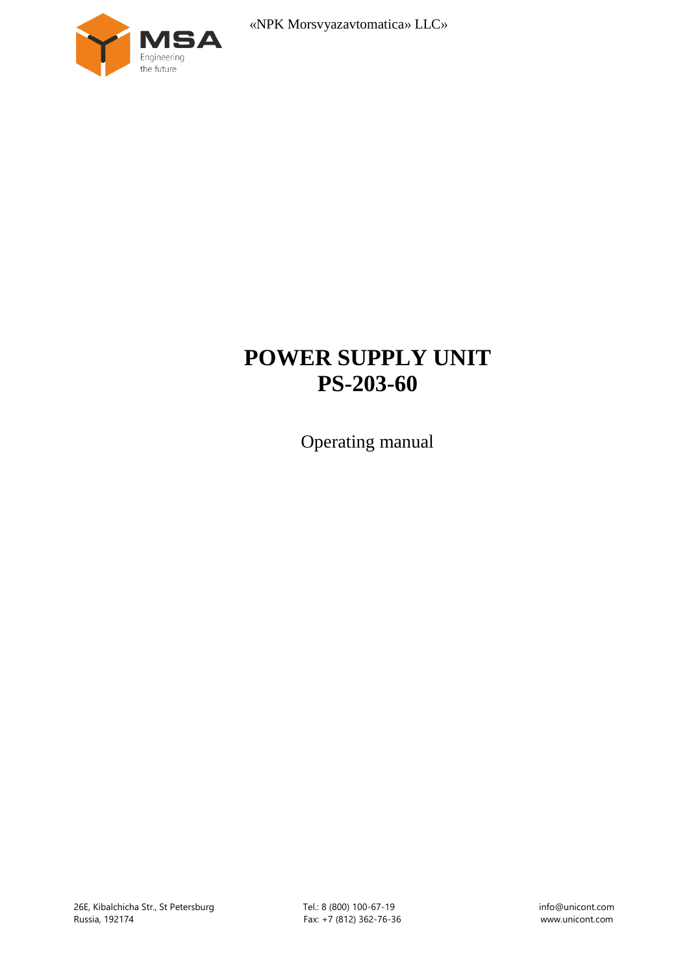

# **POWER SUPPLY UNIT PS-203-60**

Operating manual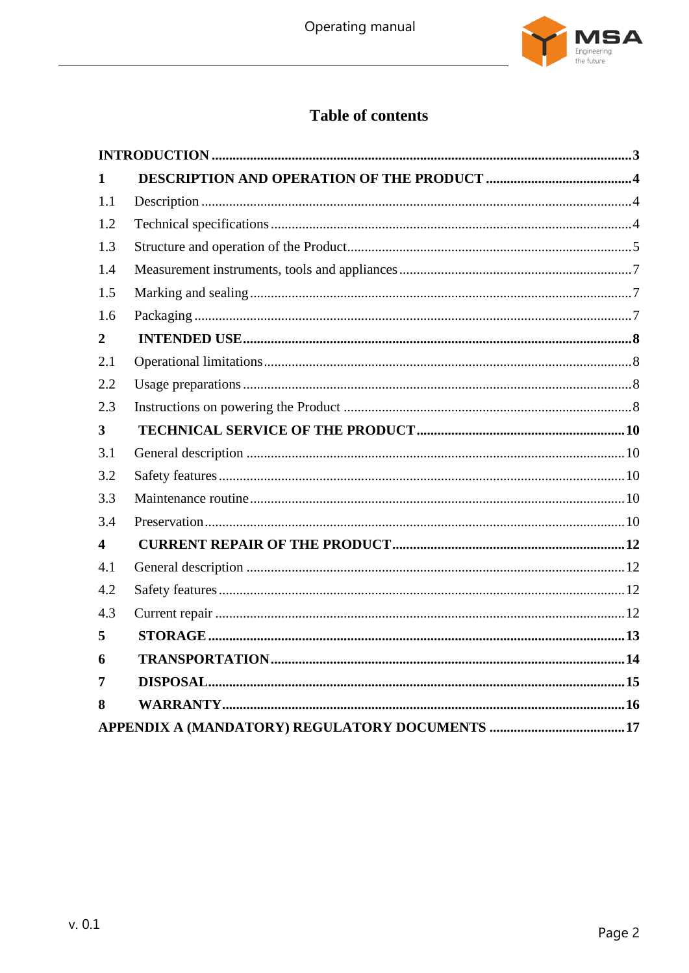

## Table of contents

| 1                       |  |
|-------------------------|--|
| 1.1                     |  |
| 1.2                     |  |
| 1.3                     |  |
| 1.4                     |  |
| 1.5                     |  |
| 1.6                     |  |
| $\boldsymbol{2}$        |  |
| 2.1                     |  |
| 2.2                     |  |
| 2.3                     |  |
| $\overline{\mathbf{3}}$ |  |
| 3.1                     |  |
| 3.2                     |  |
| 3.3                     |  |
| 3.4                     |  |
| 4                       |  |
| 4.1                     |  |
| 4.2                     |  |
| 4.3                     |  |
| 5                       |  |
| 6                       |  |
| 7                       |  |
| 8                       |  |
|                         |  |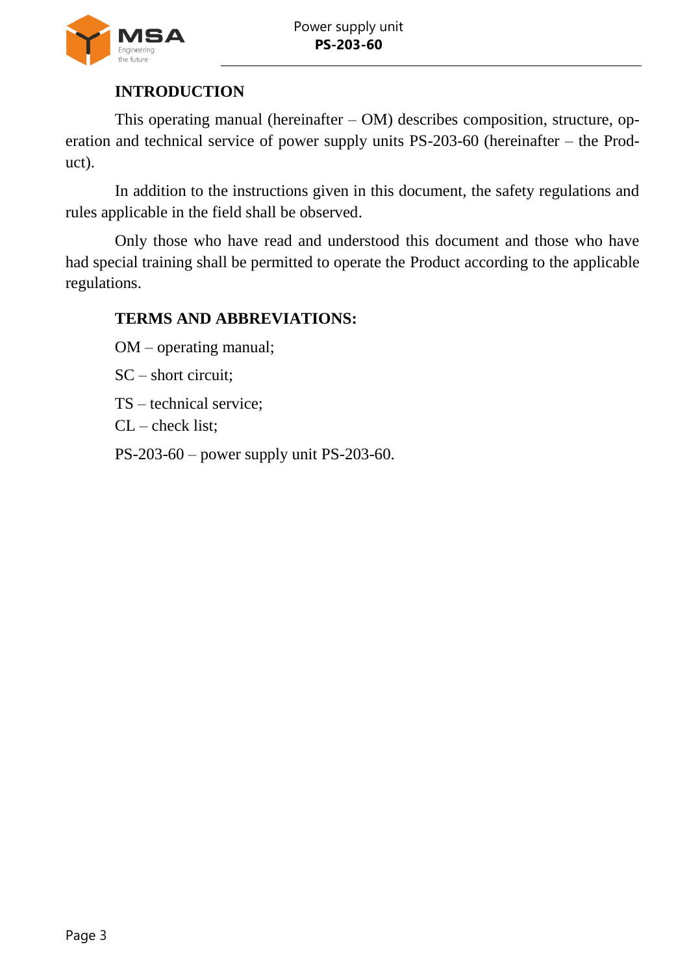

## **INTRODUCTION**

<span id="page-2-0"></span>This operating manual (hereinafter – OM) describes composition, structure, operation and technical service of power supply units PS-203-60 (hereinafter – the Product).

In addition to the instructions given in this document, the safety regulations and rules applicable in the field shall be observed.

Only those who have read and understood this document and those who have had special training shall be permitted to operate the Product according to the applicable regulations.

## **TERMS AND ABBREVIATIONS:**

OM – operating manual;

SC – short circuit;

TS – technical service;

CL – check list;

PS-203-60 – power supply unit PS-203-60.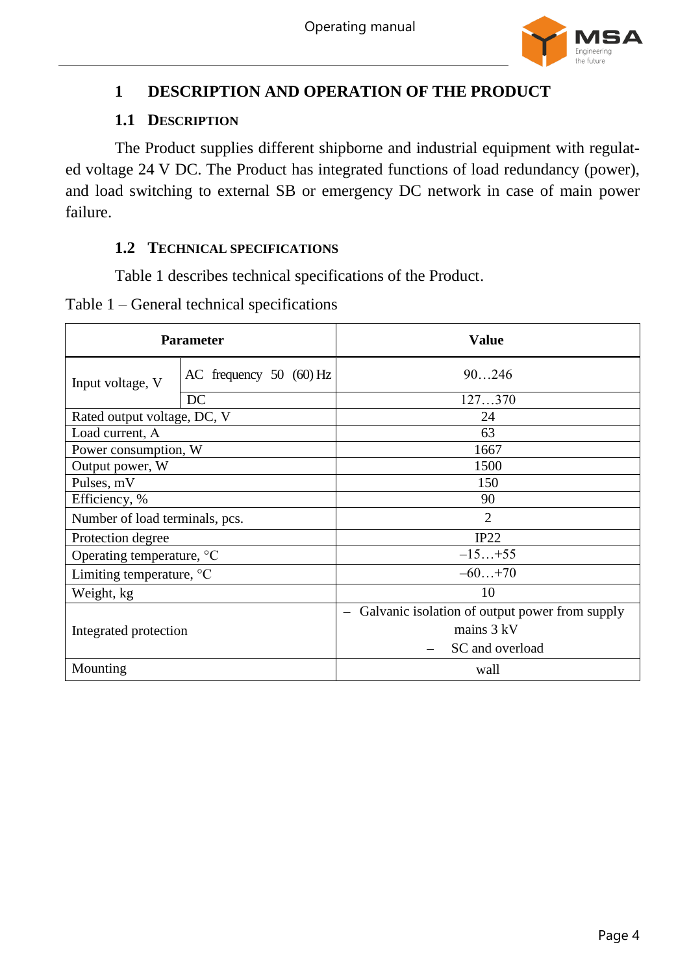

## <span id="page-3-0"></span>**1 DESCRIPTION AND OPERATION OF THE PRODUCT**

#### **1.1 DESCRIPTION**

<span id="page-3-1"></span>The Product supplies different shipborne and industrial equipment with regulated voltage 24 V DC. The Product has integrated functions of load redundancy (power), and load switching to external SB or emergency DC network in case of main power failure.

#### <span id="page-3-2"></span>**1.2 TECHNICAL SPECIFICATIONS**

Table [1](#page-3-3) describes technical specifications of the Product.

<span id="page-3-3"></span>Table 1 – General technical specifications

| <b>Parameter</b>                   |                           | <b>Value</b>                                                               |  |
|------------------------------------|---------------------------|----------------------------------------------------------------------------|--|
| Input voltage, V                   | AC frequency $50$ (60) Hz | 90246                                                                      |  |
|                                    | DC                        | 127370                                                                     |  |
| Rated output voltage, DC, V        |                           | 24                                                                         |  |
| Load current, A                    |                           | 63                                                                         |  |
| Power consumption, W               |                           | 1667                                                                       |  |
| Output power, W                    |                           | 1500                                                                       |  |
| Pulses, mV                         |                           | 150                                                                        |  |
| Efficiency, %                      |                           | 90                                                                         |  |
| Number of load terminals, pcs.     |                           | 2                                                                          |  |
| Protection degree                  |                           | IP22                                                                       |  |
| Operating temperature, °C          |                           | $-15+55$                                                                   |  |
| Limiting temperature, $\mathrm{C}$ |                           | $-60+70$                                                                   |  |
| Weight, kg                         |                           | 10                                                                         |  |
| Integrated protection              |                           | Galvanic isolation of output power from supply<br>$\overline{\phantom{m}}$ |  |
|                                    |                           | mains $3 kV$                                                               |  |
|                                    |                           | SC and overload                                                            |  |
| Mounting                           |                           | wall                                                                       |  |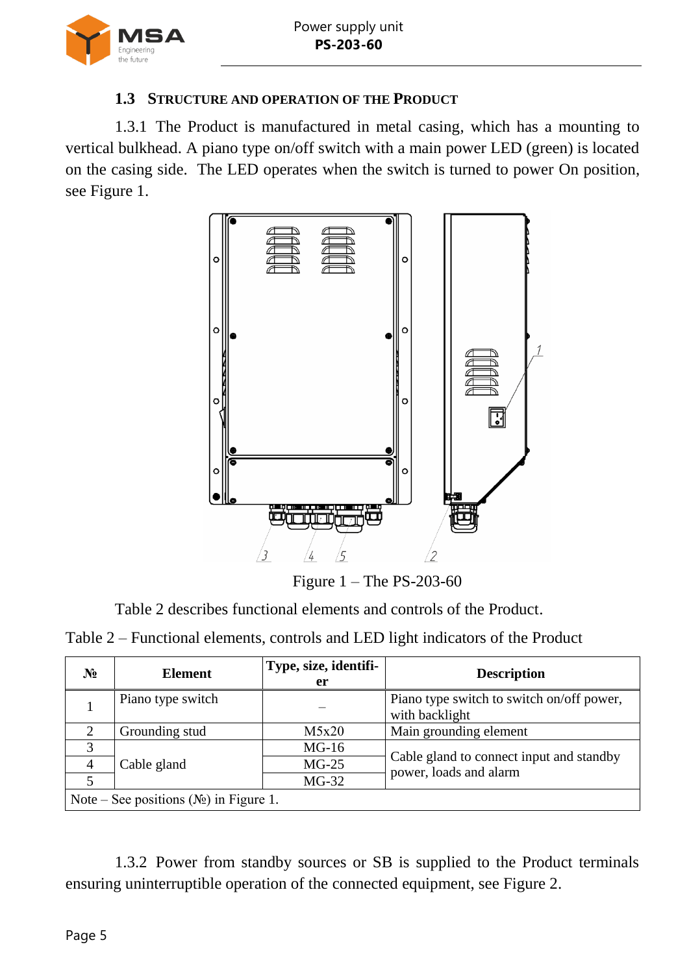

#### **1.3 STRUCTURE AND OPERATION OF THE PRODUCT**

<span id="page-4-0"></span>1.3.1 The Product is manufactured in metal casing, which has a mounting to vertical bulkhead. A piano type on/off switch with a main power LED (green) is located on the casing side. The LED operates when the switch is turned to power On position, see Figure [1.](#page-4-1)



Figure 1 – The PS-203-60

<span id="page-4-1"></span>Table [2](#page-4-2) describes functional elements and controls of the Product.

<span id="page-4-2"></span>Table 2 – Functional elements, controls and LED light indicators of the Product

| $N_2$                                     | <b>Element</b>    | Type, size, identifi-<br>er | <b>Description</b>                                                 |
|-------------------------------------------|-------------------|-----------------------------|--------------------------------------------------------------------|
|                                           | Piano type switch |                             | Piano type switch to switch on/off power,<br>with backlight        |
|                                           | Grounding stud    | M5x20                       | Main grounding element                                             |
| 3                                         |                   | $MG-16$                     |                                                                    |
| 4                                         | Cable gland       | $MG-25$                     | Cable gland to connect input and standby<br>power, loads and alarm |
|                                           |                   | $MG-32$                     |                                                                    |
| Note – See positions $(N_2)$ in Figure 1. |                   |                             |                                                                    |

1.3.2 Power from standby sources or SB is supplied to the Product terminals ensuring uninterruptible operation of the connected equipment, see Figure [2.](#page-5-0)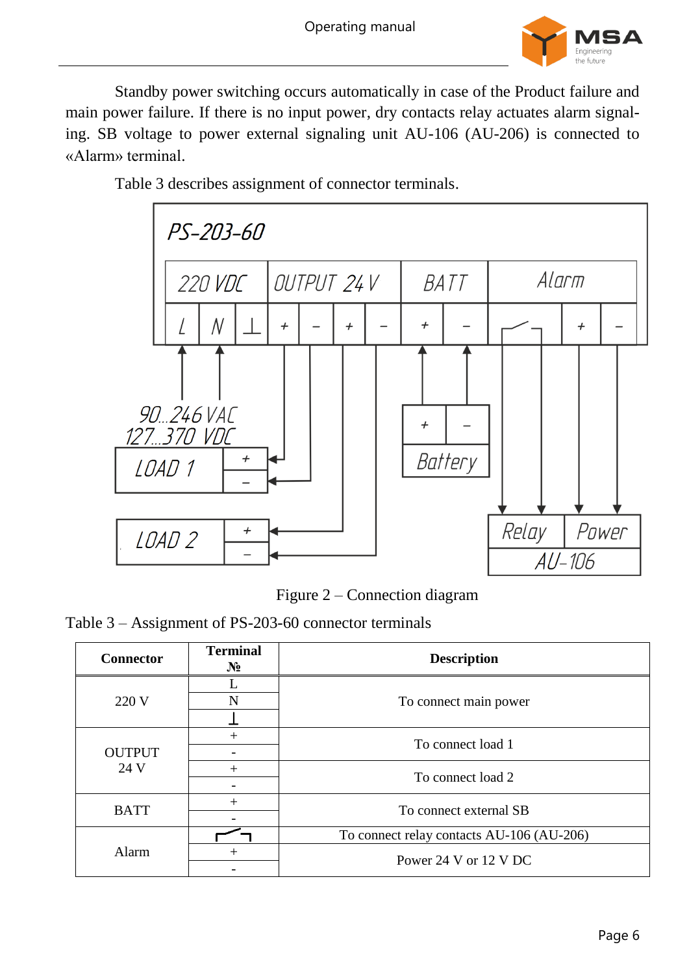

Standby power switching occurs automatically in case of the Product failure and main power failure. If there is no input power, dry contacts relay actuates alarm signaling. SB voltage to power external signaling unit AU-106 (AU-206) is connected to «Alarm» terminal.

Table [3](#page-5-1) describes assignment of connector terminals.



Figure 2 – Connection diagram

<span id="page-5-1"></span><span id="page-5-0"></span>Table 3 – Assignment of PS-203-60 connector terminals

| <b>Connector</b> | <b>Terminal</b><br>$N_2$ | <b>Description</b>                        |  |
|------------------|--------------------------|-------------------------------------------|--|
|                  |                          |                                           |  |
| 220 V            | N                        | To connect main power                     |  |
|                  |                          |                                           |  |
|                  | $^+$                     | To connect load 1                         |  |
| <b>OUTPUT</b>    |                          |                                           |  |
| 24 V             | $+$                      | To connect load 2                         |  |
|                  |                          |                                           |  |
| <b>BATT</b>      | $^{+}$                   | To connect external SB                    |  |
|                  |                          |                                           |  |
|                  |                          | To connect relay contacts AU-106 (AU-206) |  |
| Alarm            | $^{+}$                   | Power 24 V or 12 V DC                     |  |
|                  |                          |                                           |  |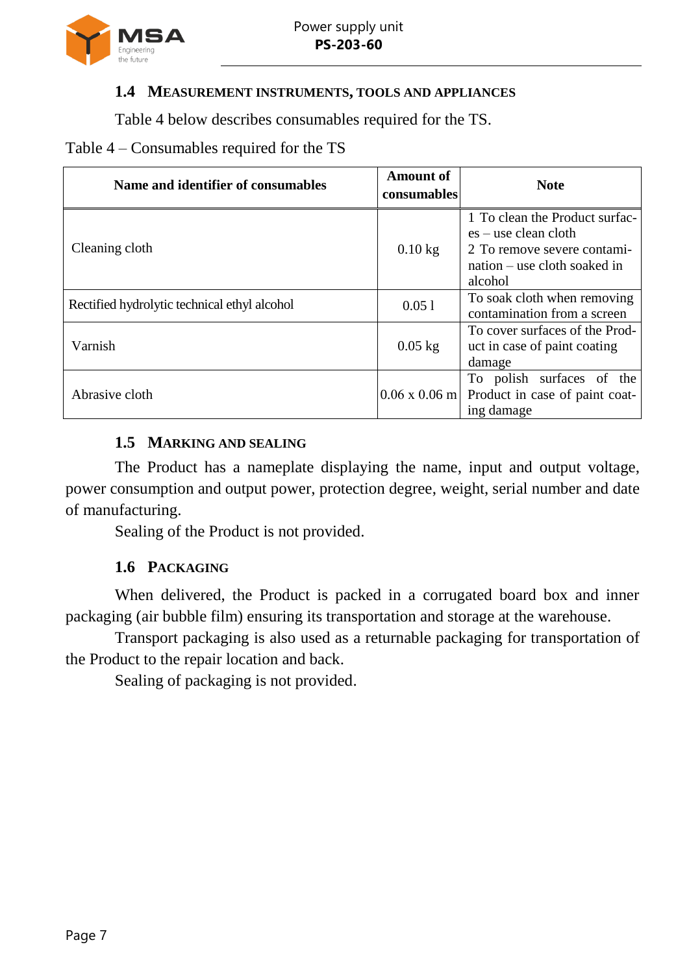

#### <span id="page-6-0"></span>**1.4 MEASUREMENT INSTRUMENTS, TOOLS AND APPLIANCES**

Table [4](#page-6-3) below describes consumables required for the TS.

#### <span id="page-6-3"></span>Table 4 – Consumables required for the TS

| Name and identifier of consumables           | <b>Amount of</b><br>consumables | <b>Note</b>                                                                                                                        |
|----------------------------------------------|---------------------------------|------------------------------------------------------------------------------------------------------------------------------------|
| Cleaning cloth                               | $0.10$ kg                       | 1 To clean the Product surfac-<br>$es - use clean cloth$<br>2 To remove severe contami-<br>nation – use cloth soaked in<br>alcohol |
| Rectified hydrolytic technical ethyl alcohol | 0.051                           | To soak cloth when removing<br>contamination from a screen                                                                         |
| Varnish                                      | $0.05$ kg                       | To cover surfaces of the Prod-<br>uct in case of paint coating<br>damage                                                           |
| Abrasive cloth                               |                                 | To polish surfaces of the<br>$0.06 \times 0.06$ m Product in case of paint coat-<br>ing damage                                     |

#### **1.5 MARKING AND SEALING**

<span id="page-6-1"></span>The Product has a nameplate displaying the name, input and output voltage, power consumption and output power, protection degree, weight, serial number and date of manufacturing.

Sealing of the Product is not provided.

#### **1.6 PACKAGING**

<span id="page-6-2"></span>When delivered, the Product is packed in a corrugated board box and inner packaging (air bubble film) ensuring its transportation and storage at the warehouse.

Transport packaging is also used as a returnable packaging for transportation of the Product to the repair location and back.

Sealing of packaging is not provided.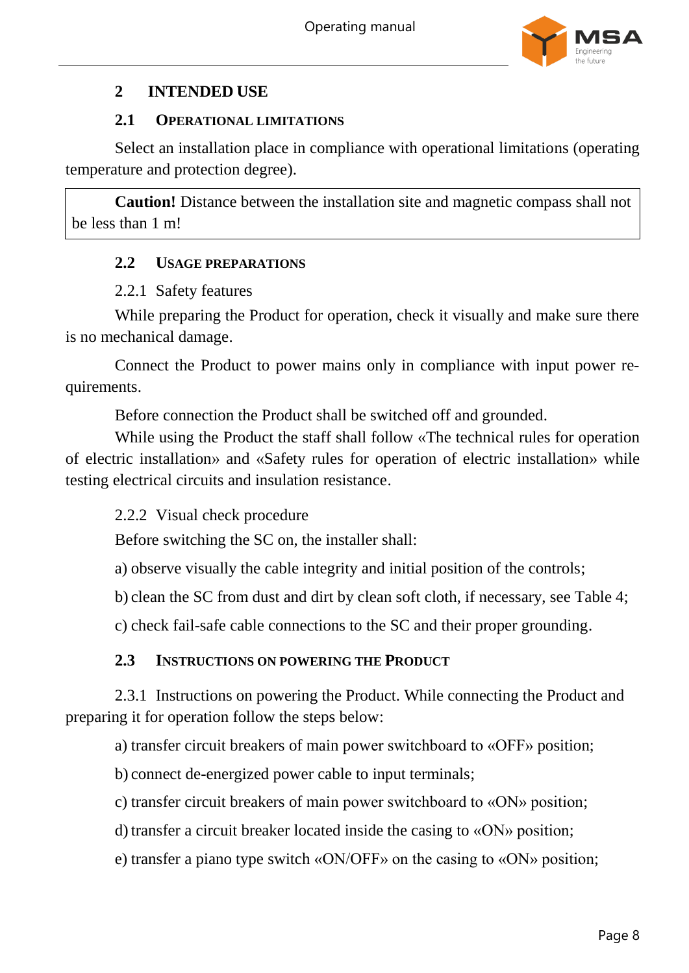

## <span id="page-7-0"></span>**2 INTENDED USE**

#### **2.1 OPERATIONAL LIMITATIONS**

<span id="page-7-1"></span>Select an installation place in compliance with operational limitations (operating temperature and protection degree).

<span id="page-7-2"></span>**Caution!** Distance between the installation site and magnetic compass shall not be less than 1 m!

#### **2.2 USAGE PREPARATIONS**

#### 2.2.1 Safety features

While preparing the Product for operation, check it visually and make sure there is no mechanical damage.

Connect the Product to power mains only in compliance with input power requirements.

Before connection the Product shall be switched off and grounded.

While using the Product the staff shall follow «The technical rules for operation of electric installation» and «Safety rules for operation of electric installation» while testing electrical circuits and insulation resistance.

2.2.2 Visual check procedure

Before switching the SC on, the installer shall:

a) observe visually the cable integrity and initial position of the controls;

b) clean the SC from dust and dirt by clean soft cloth, if necessary, see Table [4;](#page-6-3)

c) check fail-safe cable connections to the SC and their proper grounding.

#### **2.3 INSTRUCTIONS ON POWERING THE PRODUCT**

<span id="page-7-3"></span>2.3.1 Instructions on powering the Product. While connecting the Product and preparing it for operation follow the steps below:

a) transfer circuit breakers of main power switchboard to «OFF» position;

b) connect de-energized power cable to input terminals;

c) transfer circuit breakers of main power switchboard to «ON» position;

d) transfer a circuit breaker located inside the casing to «ON» position;

e) transfer a piano type switch «ON/OFF» on the casing to «ON» position;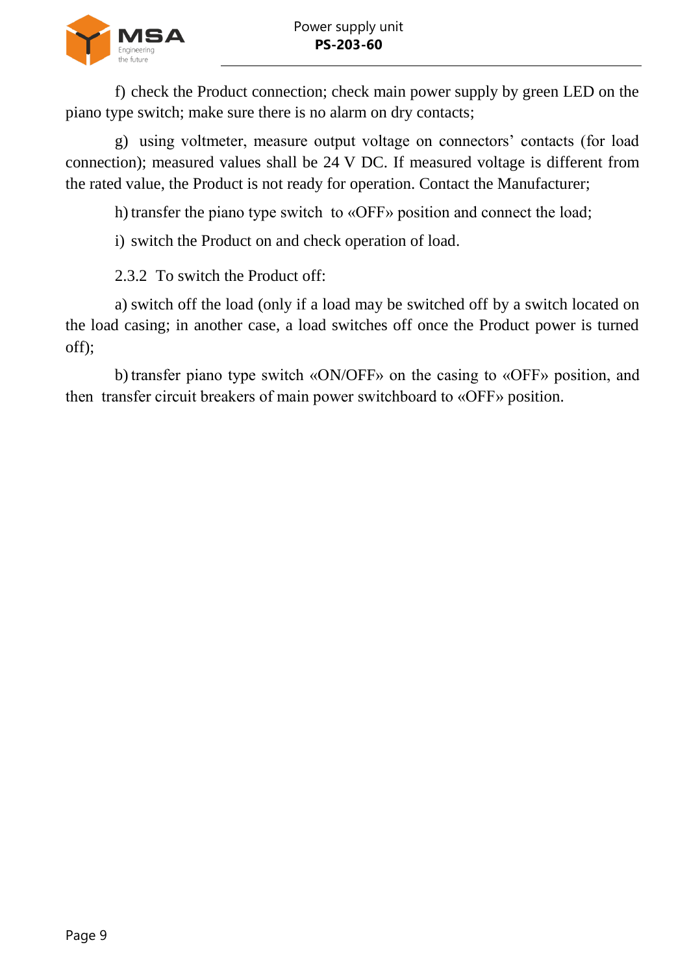

f) check the Product connection; check main power supply by green LED on the piano type switch; make sure there is no alarm on dry contacts;

g) using voltmeter, measure output voltage on connectors' contacts (for load connection); measured values shall be 24 V DC. If measured voltage is different from the rated value, the Product is not ready for operation. Contact the Manufacturer;

h) transfer the piano type switch to «OFF» position and connect the load;

i) switch the Product on and check operation of load.

2.3.2. To switch the Product off

a) switch off the load (only if a load may be switched off by a switch located on the load casing; in another case, a load switches off once the Product power is turned off);

b)transfer piano type switch «ON/OFF» on the casing to «OFF» position, and then transfer circuit breakers of main power switchboard to «OFF» position.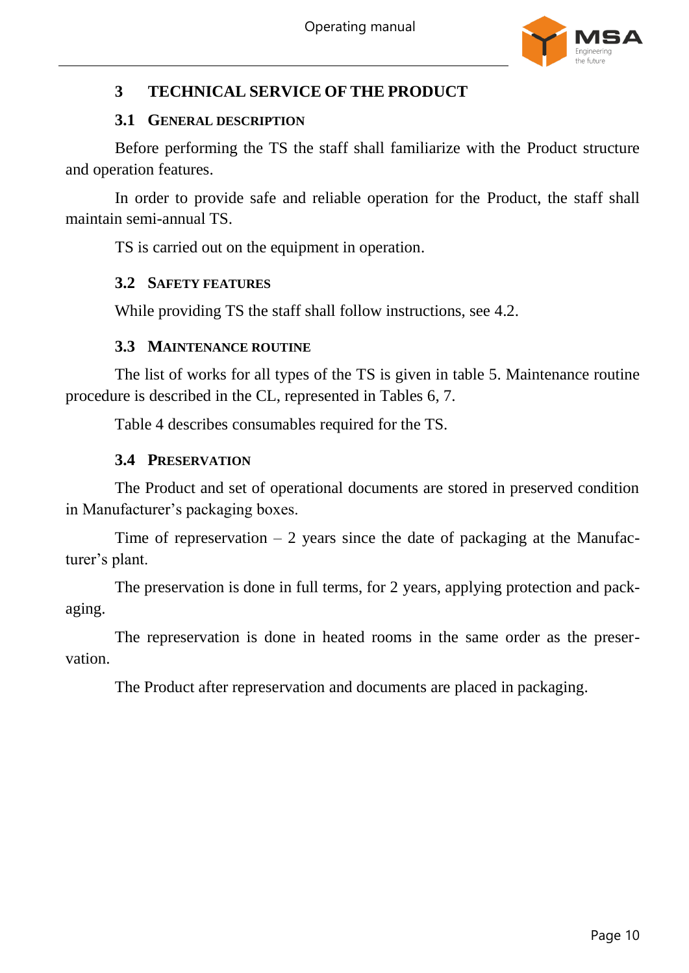

## <span id="page-9-0"></span>**3 TECHNICAL SERVICE OF THE PRODUCT**

#### **3.1 GENERAL DESCRIPTION**

<span id="page-9-1"></span>Before performing the TS the staff shall familiarize with the Product structure and operation features.

In order to provide safe and reliable operation for the Product, the staff shall maintain semi-annual TS.

ТS is carried out on the equipment in operation.

#### <span id="page-9-2"></span>**3.2 SAFETY FEATURES**

While providing TS the staff shall follow instructions, see [4.2.](#page-11-2)

#### **3.3 MAINTENANCE ROUTINE**

<span id="page-9-3"></span>The list of works for all types of the TS is given in table [5.](#page-10-0) Maintenance routine procedure is described in the CL, represented in Tables [6,](#page-10-1) [7.](#page-10-2)

Table [4](#page-6-3) describes consumables required for the TS.

#### **3.4 PRESERVATION**

<span id="page-9-4"></span>The Product and set of operational documents are stored in preserved condition in Manufacturer's packaging boxes.

Time of represervation  $-2$  years since the date of packaging at the Manufacturer's plant.

The preservation is done in full terms, for 2 years, applying protection and packaging.

The represervation is done in heated rooms in the same order as the preservation.

The Product after represervation and documents are placed in packaging.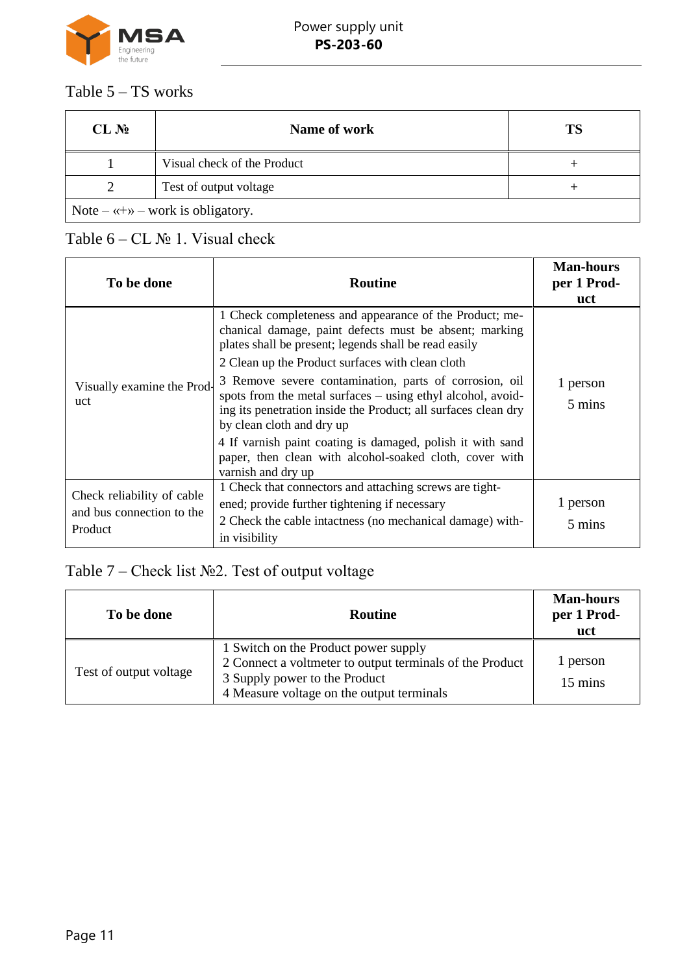

## <span id="page-10-0"></span>Table 5 – TS works

| CL N <sub>2</sub>                                | Name of work                | TS |
|--------------------------------------------------|-----------------------------|----|
|                                                  | Visual check of the Product |    |
|                                                  | Test of output voltage      |    |
| Note – $\langle + \rangle$ – work is obligatory. |                             |    |

## <span id="page-10-1"></span>Table  $6 - CL$   $N_2$  1. Visual check

| To be done                                                         | <b>Routine</b>                                                                                                                                                                                                                                                           | <b>Man-hours</b><br>per 1 Prod-<br>uct |
|--------------------------------------------------------------------|--------------------------------------------------------------------------------------------------------------------------------------------------------------------------------------------------------------------------------------------------------------------------|----------------------------------------|
|                                                                    | 1 Check completeness and appearance of the Product; me-<br>chanical damage, paint defects must be absent; marking<br>plates shall be present; legends shall be read easily                                                                                               |                                        |
| Visually examine the Prod-<br>uct                                  | 2 Clean up the Product surfaces with clean cloth<br>3 Remove severe contamination, parts of corrosion, oil<br>spots from the metal surfaces – using ethyl alcohol, avoid-<br>ing its penetration inside the Product; all surfaces clean dry<br>by clean cloth and dry up | 1 person<br>5 mins                     |
|                                                                    | 4 If varnish paint coating is damaged, polish it with sand<br>paper, then clean with alcohol-soaked cloth, cover with<br>varnish and dry up                                                                                                                              |                                        |
| Check reliability of cable<br>and bus connection to the<br>Product | 1 Check that connectors and attaching screws are tight-<br>ened; provide further tightening if necessary<br>2 Check the cable intactness (no mechanical damage) with-<br>in visibility                                                                                   | 1 person<br>5 mins                     |

## <span id="page-10-2"></span>Table 7 – Check list №2. Test of output voltage

| To be done             | <b>Routine</b>                                                                                                                                                                 | <b>Man-hours</b><br>per 1 Prod-<br>uct |
|------------------------|--------------------------------------------------------------------------------------------------------------------------------------------------------------------------------|----------------------------------------|
| Test of output voltage | 1 Switch on the Product power supply<br>2 Connect a voltmeter to output terminals of the Product<br>3 Supply power to the Product<br>4 Measure voltage on the output terminals | 1 person<br>15 mins                    |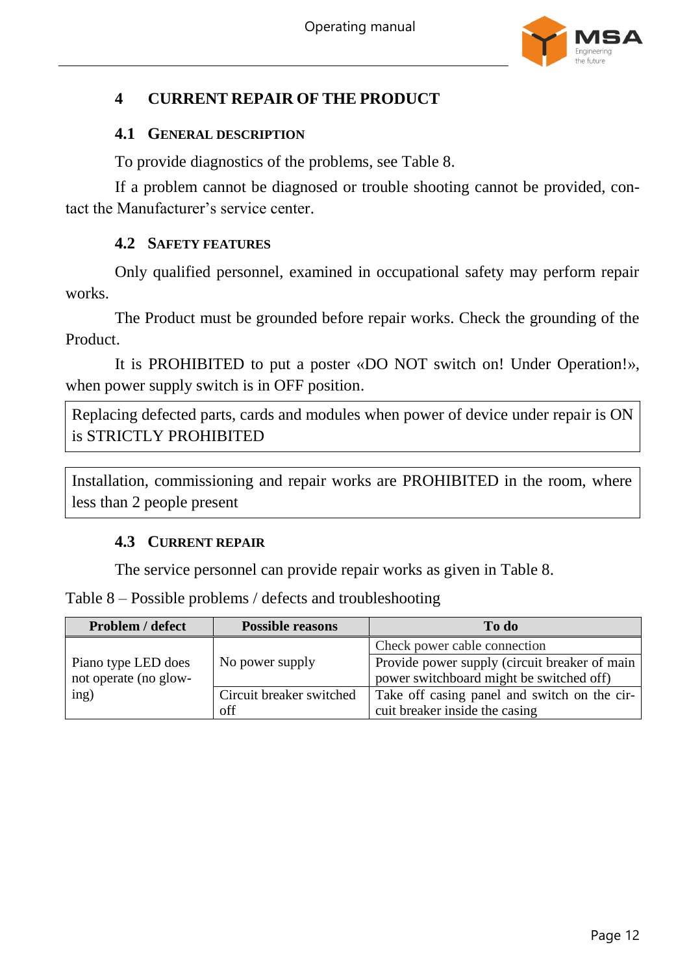

## <span id="page-11-0"></span>**4 CURRENT REPAIR OF THE PRODUCT**

#### <span id="page-11-1"></span>**4.1 GENERAL DESCRIPTION**

To provide diagnostics of the problems, see Table [8.](#page-11-4)

If a problem cannot be diagnosed or trouble shooting cannot be provided, contact the Manufacturer's service center.

#### **4.2 SAFETY FEATURES**

<span id="page-11-2"></span>Only qualified personnel, examined in occupational safety may perform repair works.

The Product must be grounded before repair works. Check the grounding of the Product.

It is PROHIBITED to put a poster «DO NOT switch on! Under Operation!», when power supply switch is in OFF position.

Replacing defected parts, cards and modules when power of device under repair is ON is STRICTLY PROHIBITED

<span id="page-11-3"></span>Installation, commissioning and repair works are PROHIBITED in the room, where less than 2 people present

#### **4.3 CURRENT REPAIR**

The service personnel can provide repair works as given in Table [8.](#page-11-4)

<span id="page-11-4"></span>Table 8 – Possible problems / defects and troubleshooting

| <b>Problem / defect</b> | <b>Possible reasons</b>  | To do                                         |
|-------------------------|--------------------------|-----------------------------------------------|
|                         |                          | Check power cable connection                  |
| Piano type LED does     | No power supply          | Provide power supply (circuit breaker of main |
| not operate (no glow-   |                          | power switchboard might be switched off)      |
| ing)                    | Circuit breaker switched | Take off casing panel and switch on the cir-  |
|                         | off                      | cuit breaker inside the casing                |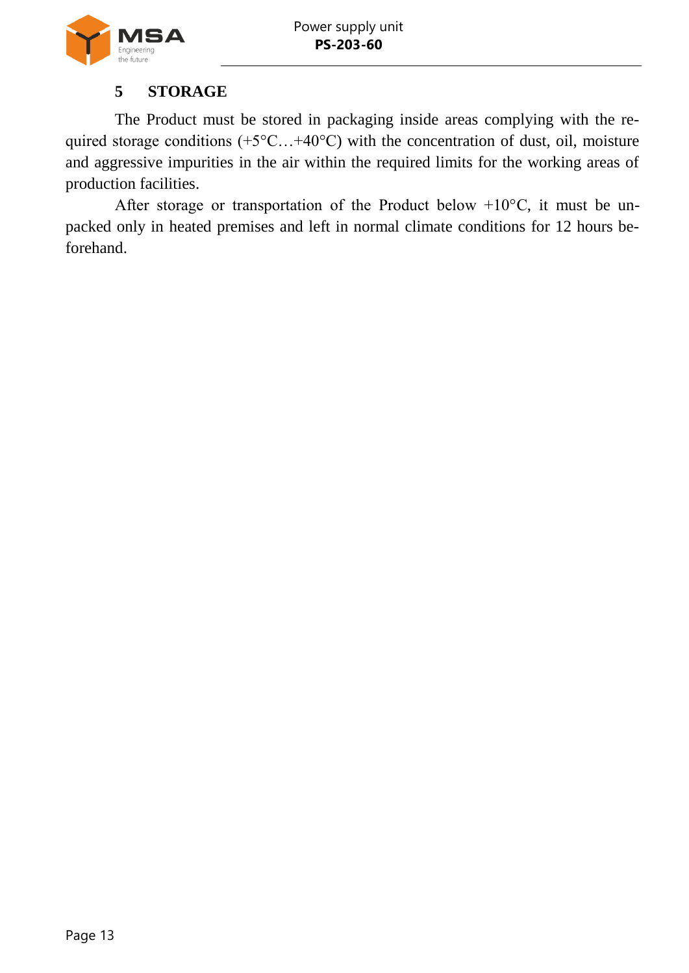

## **5 STORAGE**

<span id="page-12-0"></span>The Product must be stored in packaging inside areas complying with the required storage conditions (+5°C...+40°C) with the concentration of dust, oil, moisture and aggressive impurities in the air within the required limits for the working areas of production facilities.

After storage or transportation of the Product below +10°С, it must be unpacked only in heated premises and left in normal climate conditions for 12 hours beforehand.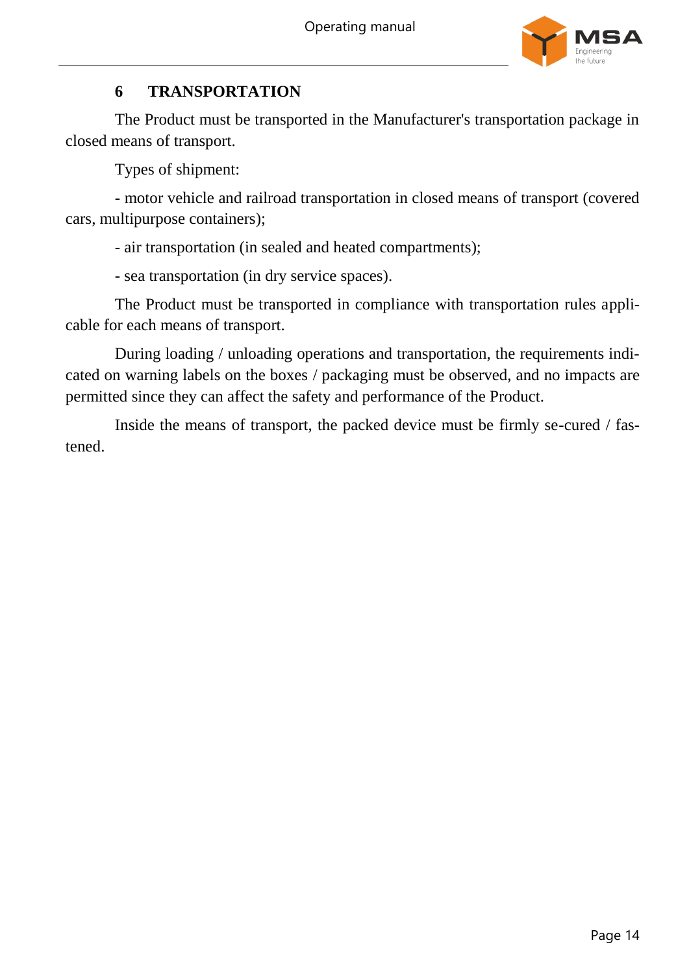

## **6 TRANSPORTATION**

<span id="page-13-0"></span>The Product must be transported in the Manufacturer's transportation package in closed means of transport.

Types of shipment:

- motor vehicle and railroad transportation in closed means of transport (covered cars, multipurpose containers);

- air transportation (in sealed and heated compartments);

- sea transportation (in dry service spaces).

The Product must be transported in compliance with transportation rules applicable for each means of transport.

During loading / unloading operations and transportation, the requirements indicated on warning labels on the boxes / packaging must be observed, and no impacts are permitted since they can affect the safety and performance of the Product.

Inside the means of transport, the packed device must be firmly se-cured / fastened.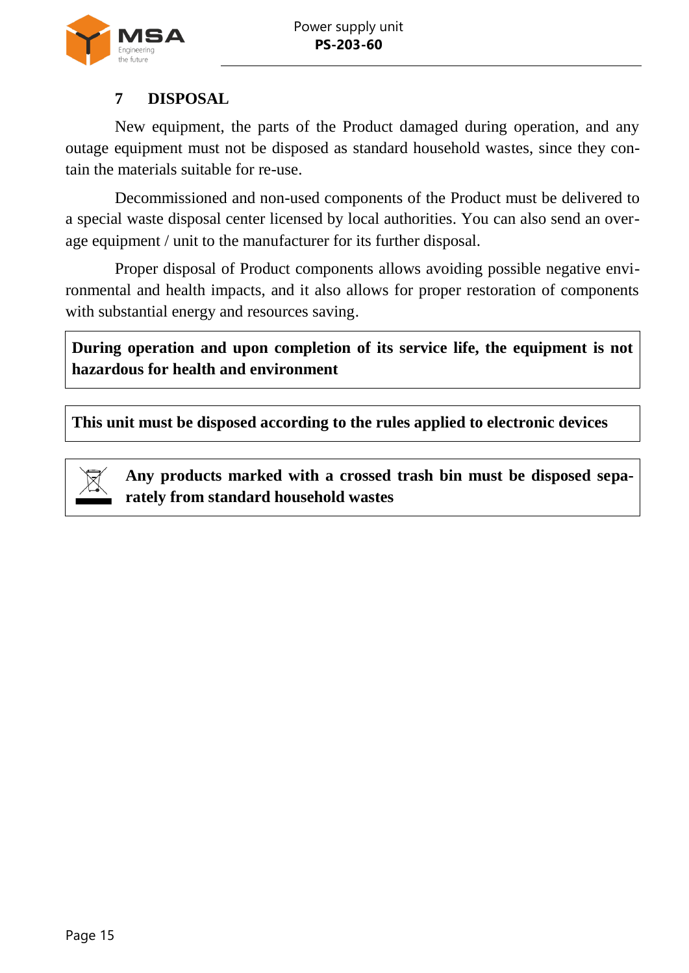

## **7 DISPOSAL**

<span id="page-14-0"></span>New equipment, the parts of the Product damaged during operation, and any outage equipment must not be disposed as standard household wastes, since they contain the materials suitable for re-use.

Decommissioned and non-used components of the Product must be delivered to a special waste disposal center licensed by local authorities. You can also send an overage equipment / unit to the manufacturer for its further disposal.

Proper disposal of Product components allows avoiding possible negative environmental and health impacts, and it also allows for proper restoration of components with substantial energy and resources saving.

**During operation and upon completion of its service life, the equipment is not hazardous for health and environment**

**This unit must be disposed according to the rules applied to electronic devices**

<span id="page-14-1"></span>

**Any products marked with a crossed trash bin must be disposed separately from standard household wastes**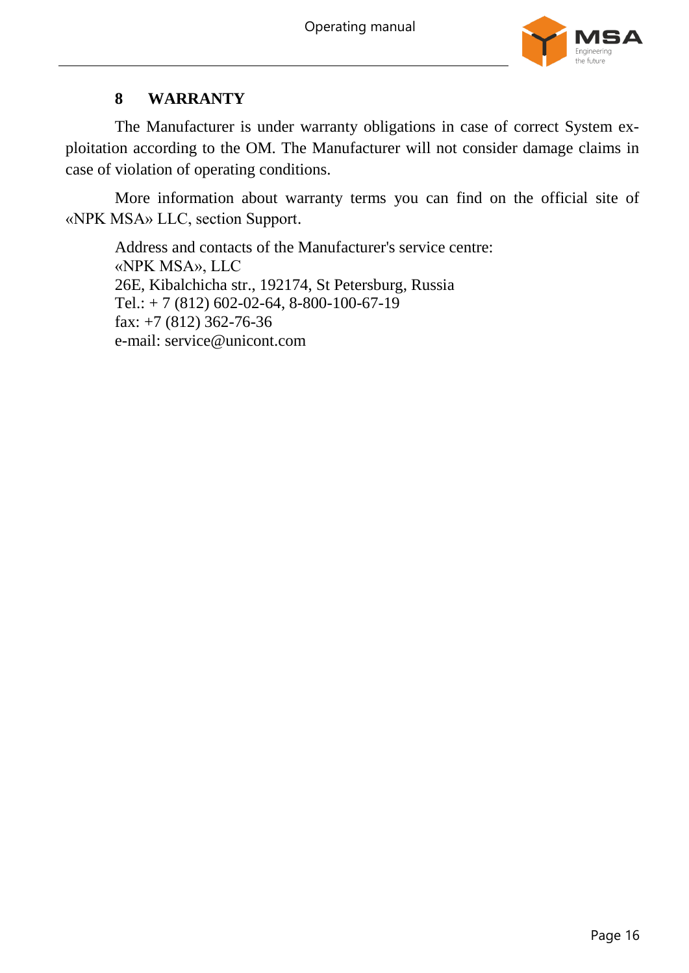

## **8 WARRANTY**

The Manufacturer is under warranty obligations in case of correct System exploitation according to the OM. The Manufacturer will not consider damage claims in case of violation of operating conditions.

More information about warranty terms you can find on the official site of «NPK MSA» LLC, section Support.

Address and contacts of the Manufacturer's service centre: «NPK MSA», LLC 26E, Kibalchicha str., 192174, St Petersburg, Russia Tel.: + 7 (812) 602-02-64, 8-800-100-67-19 fax: +7 (812) 362-76-36 e-mail: service@unicont.com